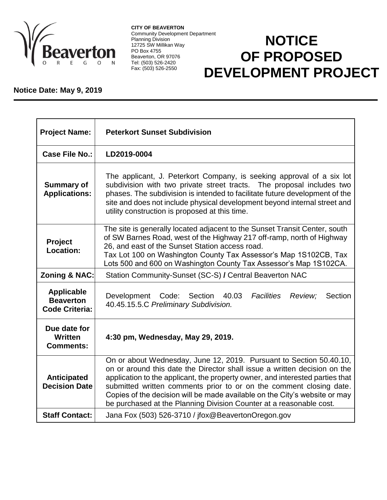

**CITY OF BEAVERTON** Community Development Department Planning Division 12725 SW Millikan Way PO Box 4755 Beaverton, OR 97076 Tel: (503) 526-2420 Fax: (503) 526-2550

## **NOTICE OF PROPOSED DEVELOPMENT PROJECT**

## **Notice Date: May 9, 2019**

| <b>Project Name:</b>                                           | <b>Peterkort Sunset Subdivision</b>                                                                                                                                                                                                                                                                                                                                                                                                                           |
|----------------------------------------------------------------|---------------------------------------------------------------------------------------------------------------------------------------------------------------------------------------------------------------------------------------------------------------------------------------------------------------------------------------------------------------------------------------------------------------------------------------------------------------|
| Case File No.:                                                 | LD2019-0004                                                                                                                                                                                                                                                                                                                                                                                                                                                   |
| <b>Summary of</b><br><b>Applications:</b>                      | The applicant, J. Peterkort Company, is seeking approval of a six lot<br>subdivision with two private street tracts. The proposal includes two<br>phases. The subdivision is intended to facilitate future development of the<br>site and does not include physical development beyond internal street and<br>utility construction is proposed at this time.                                                                                                  |
| Project<br>Location:                                           | The site is generally located adjacent to the Sunset Transit Center, south<br>of SW Barnes Road, west of the Highway 217 off-ramp, north of Highway<br>26, and east of the Sunset Station access road.<br>Tax Lot 100 on Washington County Tax Assessor's Map 1S102CB, Tax<br>Lots 500 and 600 on Washington County Tax Assessor's Map 1S102CA.                                                                                                               |
| <b>Zoning &amp; NAC:</b>                                       | Station Community-Sunset (SC-S) / Central Beaverton NAC                                                                                                                                                                                                                                                                                                                                                                                                       |
| <b>Applicable</b><br><b>Beaverton</b><br><b>Code Criteria:</b> | Development Code: Section 40.03<br>Facilities<br>Review;<br>Section<br>40.45.15.5.C Preliminary Subdivision.                                                                                                                                                                                                                                                                                                                                                  |
| Due date for<br><b>Written</b><br><b>Comments:</b>             | 4:30 pm, Wednesday, May 29, 2019.                                                                                                                                                                                                                                                                                                                                                                                                                             |
| Anticipated<br><b>Decision Date</b>                            | On or about Wednesday, June 12, 2019. Pursuant to Section 50.40.10,<br>on or around this date the Director shall issue a written decision on the<br>application to the applicant, the property owner, and interested parties that<br>submitted written comments prior to or on the comment closing date.<br>Copies of the decision will be made available on the City's website or may<br>be purchased at the Planning Division Counter at a reasonable cost. |
| <b>Staff Contact:</b>                                          | Jana Fox (503) 526-3710 / jfox@BeavertonOregon.gov                                                                                                                                                                                                                                                                                                                                                                                                            |